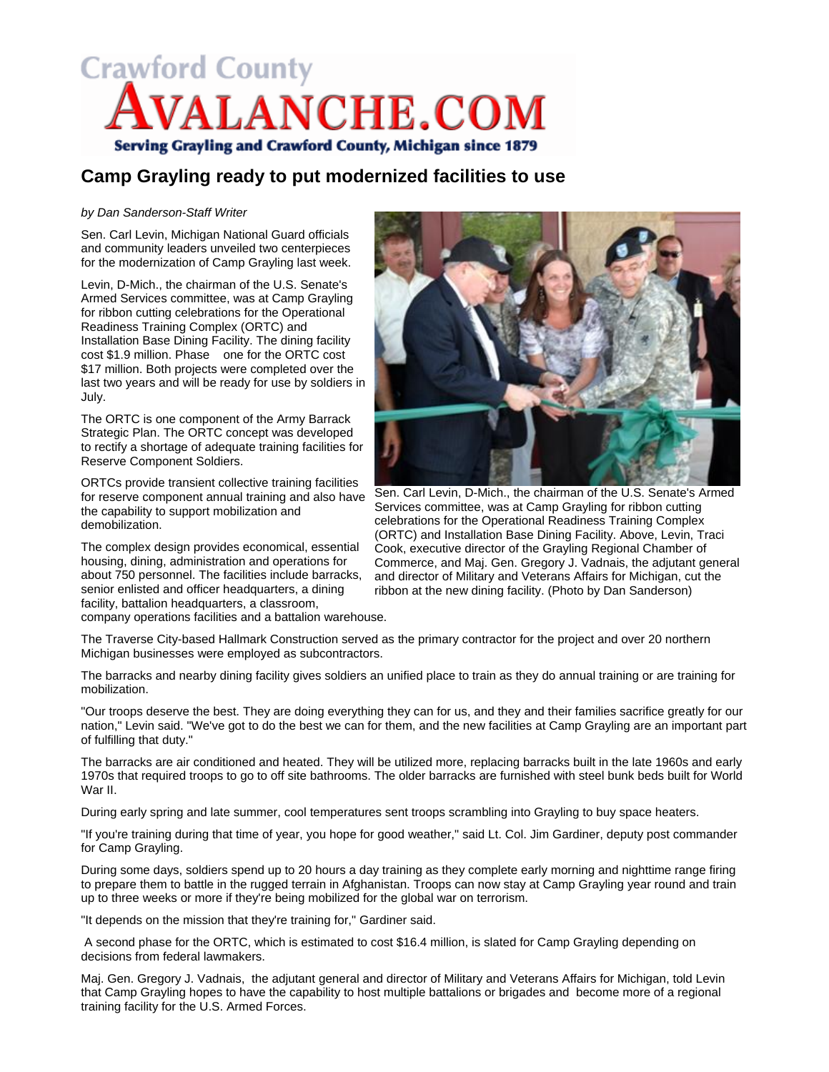## **Crawford County VALANCHE.COM** Serving Grayling and Crawford County, Michigan since 1879

## **Camp Grayling ready to put modernized facilities to use**

## *by Dan Sanderson-Staff Writer*

Sen. Carl Levin, Michigan National Guard officials and community leaders unveiled two centerpieces for the modernization of Camp Grayling last week.

Levin, D-Mich., the chairman of the U.S. Senate's Armed Services committee, was at Camp Grayling for ribbon cutting celebrations for the Operational Readiness Training Complex (ORTC) and Installation Base Dining Facility. The dining facility cost \$1.9 million. Phase one for the ORTC cost \$17 million. Both projects were completed over the last two years and will be ready for use by soldiers in July.

The ORTC is one component of the Army Barrack Strategic Plan. The ORTC concept was developed to rectify a shortage of adequate training facilities for Reserve Component Soldiers.

ORTCs provide transient collective training facilities for reserve component annual training and also have the capability to support mobilization and demobilization.

The complex design provides economical, essential housing, dining, administration and operations for about 750 personnel. The facilities include barracks, senior enlisted and officer headquarters, a dining facility, battalion headquarters, a classroom, company operations facilities and a battalion warehouse.



Sen. Carl Levin, D-Mich., the chairman of the U.S. Senate's Armed Services committee, was at Camp Grayling for ribbon cutting celebrations for the Operational Readiness Training Complex (ORTC) and Installation Base Dining Facility. Above, Levin, Traci Cook, executive director of the Grayling Regional Chamber of Commerce, and Maj. Gen. Gregory J. Vadnais, the adjutant general and director of Military and Veterans Affairs for Michigan, cut the ribbon at the new dining facility. (Photo by Dan Sanderson)

The Traverse City-based Hallmark Construction served as the primary contractor for the project and over 20 northern Michigan businesses were employed as subcontractors.

The barracks and nearby dining facility gives soldiers an unified place to train as they do annual training or are training for mobilization.

"Our troops deserve the best. They are doing everything they can for us, and they and their families sacrifice greatly for our nation," Levin said. "We've got to do the best we can for them, and the new facilities at Camp Grayling are an important part of fulfilling that duty."

The barracks are air conditioned and heated. They will be utilized more, replacing barracks built in the late 1960s and early 1970s that required troops to go to off site bathrooms. The older barracks are furnished with steel bunk beds built for World War II.

During early spring and late summer, cool temperatures sent troops scrambling into Grayling to buy space heaters.

"If you're training during that time of year, you hope for good weather," said Lt. Col. Jim Gardiner, deputy post commander for Camp Grayling.

During some days, soldiers spend up to 20 hours a day training as they complete early morning and nighttime range firing to prepare them to battle in the rugged terrain in Afghanistan. Troops can now stay at Camp Grayling year round and train up to three weeks or more if they're being mobilized for the global war on terrorism.

"It depends on the mission that they're training for," Gardiner said.

 A second phase for the ORTC, which is estimated to cost \$16.4 million, is slated for Camp Grayling depending on decisions from federal lawmakers.

Maj. Gen. Gregory J. Vadnais, the adjutant general and director of Military and Veterans Affairs for Michigan, told Levin that Camp Grayling hopes to have the capability to host multiple battalions or brigades and become more of a regional training facility for the U.S. Armed Forces.